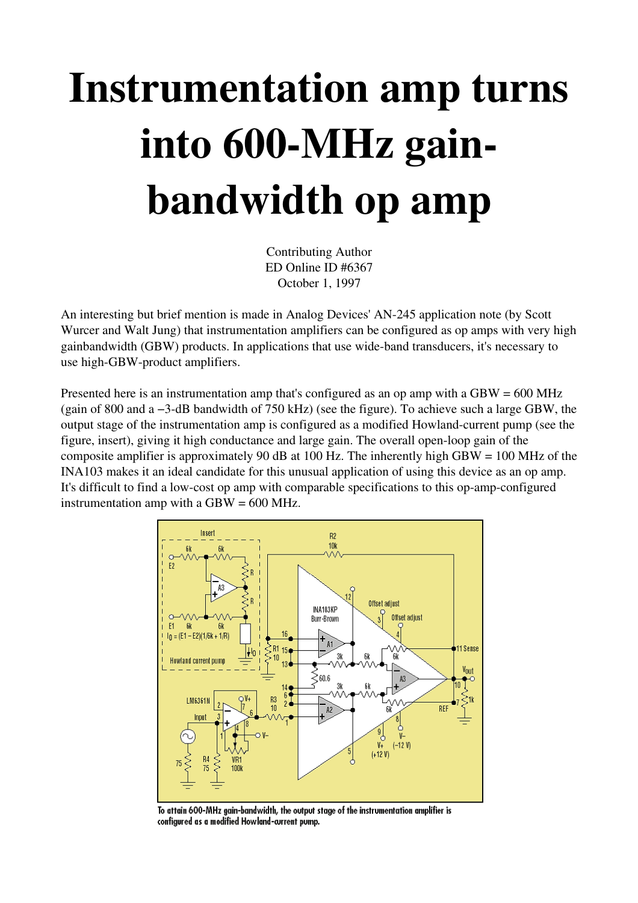## Instrumentation amp turns into 600-MHz gainbandwidth op amp

Contributing Author ED Online ID #6367 October 1, 1997

An interesting but brief mention is made in Analog Devices' AN245 application note (by Scott Wurcer and Walt Jung) that instrumentation amplifiers can be configured as op amps with very high gainbandwidth (GBW) products. In applications that use wide-band transducers, it's necessary to use high-GBW-product amplifiers.

Presented here is an instrumentation amp that's configured as an op amp with a  $GBW = 600$  MHz (gain of 800 and a −3dB bandwidth of 750 kHz) (see the figure). To achieve such a large GBW, the output stage of the instrumentation amp is configured as a modified Howland-current pump (see the figure, insert), giving it high conductance and large gain. The overall open-loop gain of the composite amplifier is approximately 90 dB at 100 Hz. The inherently high GBW = 100 MHz of the INA103 makes it an ideal candidate for this unusual application of using this device as an op amp. It's difficult to find a low-cost op amp with comparable specifications to this op-amp-configured instrumentation amp with a  $GBW = 600$  MHz.



To attain 600-MHz gain-bandwidth, the output stage of the instrumentation amplifier is configured as a modified Howland-current pump.